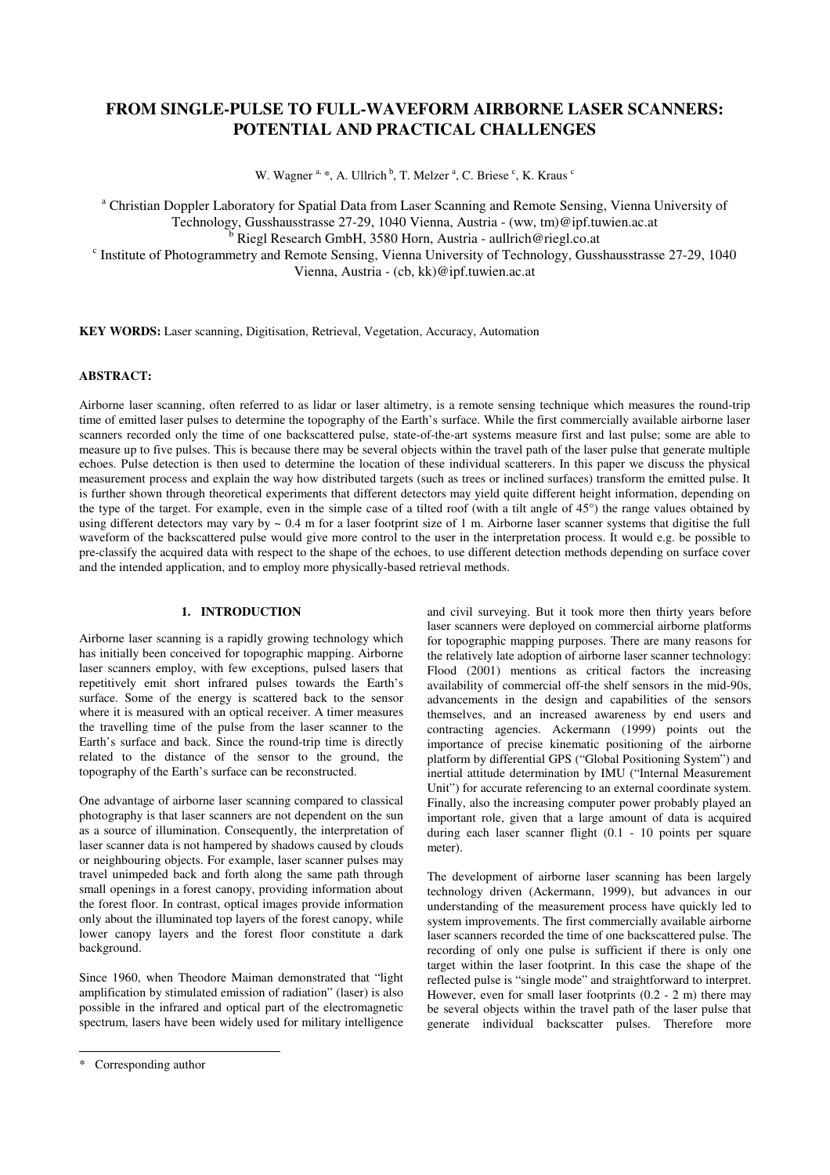# **FROM SINGLE-PULSE TO FULL-WAVEFORM AIRBORNE LASER SCANNERS: POTENTIAL AND PRACTICAL CHALLENGES**

W. Wagner <sup>a, \*</sup>, A. Ullrich <sup>b</sup>, T. Melzer <sup>a</sup>, C. Briese <sup>c</sup>, K. Kraus <sup>c</sup>

<sup>a</sup> Christian Doppler Laboratory for Spatial Data from Laser Scanning and Remote Sensing, Vienna University of Technology, Gusshausstrasse 27-29, 1040 Vienna, Austria - (ww, tm)@ipf.tuwien.ac.at <sup>b</sup> Riegl Research GmbH, 3580 Horn, Austria - aullrich@riegl.co.at <sup>c</sup> Institute of Photogrammetry and Remote Sensing, Vienna University of Technology, Gusshausstrasse 27-29, 1040 Vienna, Austria - (cb, kk)@ipf.tuwien.ac.at

**KEY WORDS:** Laser scanning, Digitisation, Retrieval, Vegetation, Accuracy, Automation

### **ABSTRACT:**

Airborne laser scanning, often referred to as lidar or laser altimetry, is a remote sensing technique which measures the round-trip time of emitted laser pulses to determine the topography of the Earth's surface. While the first commercially available airborne laser scanners recorded only the time of one backscattered pulse, state-of-the-art systems measure first and last pulse; some are able to measure up to five pulses. This is because there may be several objects within the travel path of the laser pulse that generate multiple echoes. Pulse detection is then used to determine the location of these individual scatterers. In this paper we discuss the physical measurement process and explain the way how distributed targets (such as trees or inclined surfaces) transform the emitted pulse. It is further shown through theoretical experiments that different detectors may yield quite different height information, depending on the type of the target. For example, even in the simple case of a tilted roof (with a tilt angle of 45°) the range values obtained by using different detectors may vary by  $\sim 0.4$  m for a laser footprint size of 1 m. Airborne laser scanner systems that digitise the full waveform of the backscattered pulse would give more control to the user in the interpretation process. It would e.g. be possible to pre-classify the acquired data with respect to the shape of the echoes, to use different detection methods depending on surface cover and the intended application, and to employ more physically-based retrieval methods.

# **1. INTRODUCTION**

Airborne laser scanning is a rapidly growing technology which has initially been conceived for topographic mapping. Airborne laser scanners employ, with few exceptions, pulsed lasers that repetitively emit short infrared pulses towards the Earth's surface. Some of the energy is scattered back to the sensor where it is measured with an optical receiver. A timer measures the travelling time of the pulse from the laser scanner to the Earth's surface and back. Since the round-trip time is directly related to the distance of the sensor to the ground, the topography of the Earth's surface can be reconstructed.

One advantage of airborne laser scanning compared to classical photography is that laser scanners are not dependent on the sun as a source of illumination. Consequently, the interpretation of laser scanner data is not hampered by shadows caused by clouds or neighbouring objects. For example, laser scanner pulses may travel unimpeded back and forth along the same path through small openings in a forest canopy, providing information about the forest floor. In contrast, optical images provide information only about the illuminated top layers of the forest canopy, while lower canopy layers and the forest floor constitute a dark background.

Since 1960, when Theodore Maiman demonstrated that "light amplification by stimulated emission of radiation" (laser) is also possible in the infrared and optical part of the electromagnetic spectrum, lasers have been widely used for military intelligence

and civil surveying. But it took more then thirty years before laser scanners were deployed on commercial airborne platforms for topographic mapping purposes. There are many reasons for the relatively late adoption of airborne laser scanner technology: Flood (2001) mentions as critical factors the increasing availability of commercial off-the shelf sensors in the mid-90s, advancements in the design and capabilities of the sensors themselves, and an increased awareness by end users and contracting agencies. Ackermann (1999) points out the importance of precise kinematic positioning of the airborne platform by differential GPS ("Global Positioning System") and inertial attitude determination by IMU ("Internal Measurement Unit") for accurate referencing to an external coordinate system. Finally, also the increasing computer power probably played an important role, given that a large amount of data is acquired during each laser scanner flight (0.1 - 10 points per square meter).

The development of airborne laser scanning has been largely technology driven (Ackermann, 1999), but advances in our understanding of the measurement process have quickly led to system improvements. The first commercially available airborne laser scanners recorded the time of one backscattered pulse. The recording of only one pulse is sufficient if there is only one target within the laser footprint. In this case the shape of the reflected pulse is "single mode" and straightforward to interpret. However, even for small laser footprints (0.2 - 2 m) there may be several objects within the travel path of the laser pulse that generate individual backscatter pulses. Therefore more

<sup>\*</sup> Corresponding author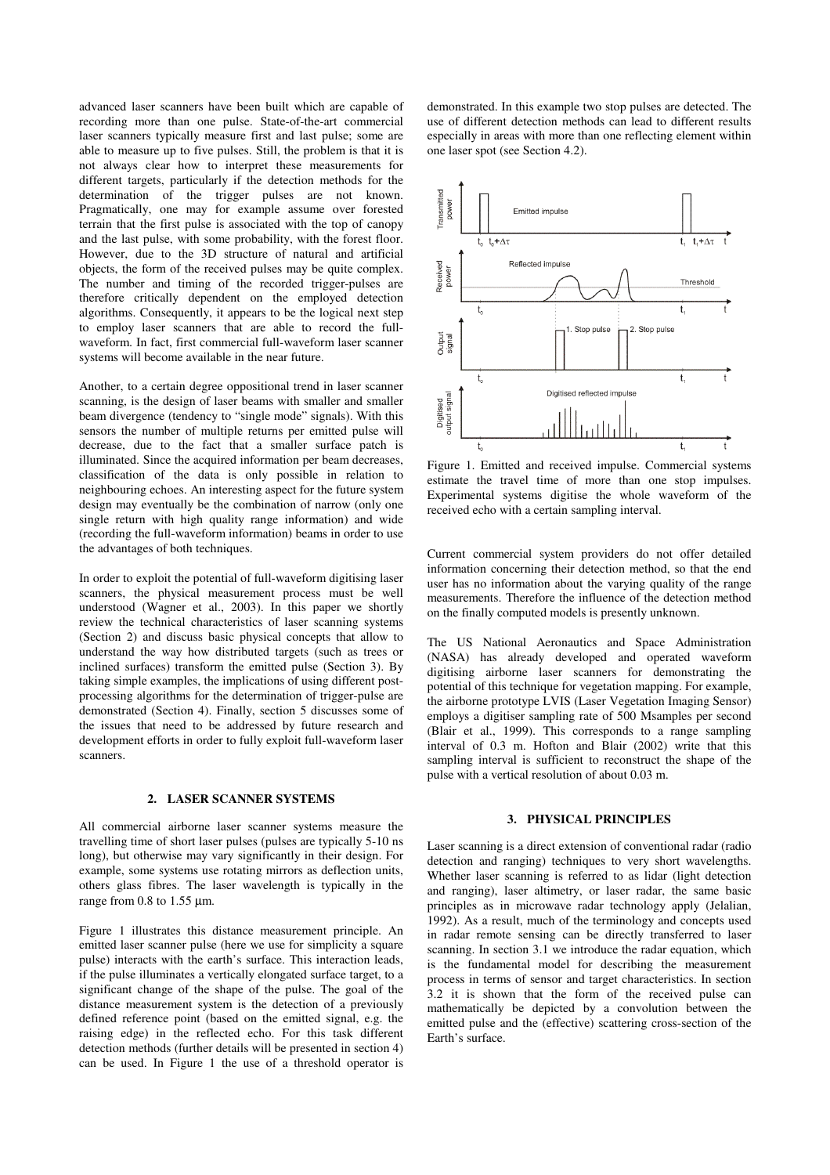advanced laser scanners have been built which are capable of recording more than one pulse. State-of-the-art commercial laser scanners typically measure first and last pulse; some are able to measure up to five pulses. Still, the problem is that it is not always clear how to interpret these measurements for different targets, particularly if the detection methods for the determination of the trigger pulses are not known. Pragmatically, one may for example assume over forested terrain that the first pulse is associated with the top of canopy and the last pulse, with some probability, with the forest floor. However, due to the 3D structure of natural and artificial objects, the form of the received pulses may be quite complex. The number and timing of the recorded trigger-pulses are therefore critically dependent on the employed detection algorithms. Consequently, it appears to be the logical next step to employ laser scanners that are able to record the fullwaveform. In fact, first commercial full-waveform laser scanner systems will become available in the near future.

Another, to a certain degree oppositional trend in laser scanner scanning, is the design of laser beams with smaller and smaller beam divergence (tendency to "single mode" signals). With this sensors the number of multiple returns per emitted pulse will decrease, due to the fact that a smaller surface patch is illuminated. Since the acquired information per beam decreases, classification of the data is only possible in relation to neighbouring echoes. An interesting aspect for the future system design may eventually be the combination of narrow (only one single return with high quality range information) and wide (recording the full-waveform information) beams in order to use the advantages of both techniques.

In order to exploit the potential of full-waveform digitising laser scanners, the physical measurement process must be well understood (Wagner et al., 2003). In this paper we shortly review the technical characteristics of laser scanning systems (Section 2) and discuss basic physical concepts that allow to understand the way how distributed targets (such as trees or inclined surfaces) transform the emitted pulse (Section 3). By taking simple examples, the implications of using different postprocessing algorithms for the determination of trigger-pulse are demonstrated (Section 4). Finally, section 5 discusses some of the issues that need to be addressed by future research and development efforts in order to fully exploit full-waveform laser scanners.

### **2. LASER SCANNER SYSTEMS**

All commercial airborne laser scanner systems measure the travelling time of short laser pulses (pulses are typically 5-10 ns long), but otherwise may vary significantly in their design. For example, some systems use rotating mirrors as deflection units, others glass fibres. The laser wavelength is typically in the range from 0.8 to 1.55 µm.

Figure 1 illustrates this distance measurement principle. An emitted laser scanner pulse (here we use for simplicity a square pulse) interacts with the earth's surface. This interaction leads, if the pulse illuminates a vertically elongated surface target, to a significant change of the shape of the pulse. The goal of the distance measurement system is the detection of a previously defined reference point (based on the emitted signal, e.g. the raising edge) in the reflected echo. For this task different detection methods (further details will be presented in section 4) can be used. In Figure 1 the use of a threshold operator is

demonstrated. In this example two stop pulses are detected. The use of different detection methods can lead to different results especially in areas with more than one reflecting element within one laser spot (see Section 4.2).



Figure 1. Emitted and received impulse. Commercial systems estimate the travel time of more than one stop impulses. Experimental systems digitise the whole waveform of the received echo with a certain sampling interval.

Current commercial system providers do not offer detailed information concerning their detection method, so that the end user has no information about the varying quality of the range measurements. Therefore the influence of the detection method on the finally computed models is presently unknown.

The US National Aeronautics and Space Administration (NASA) has already developed and operated waveform digitising airborne laser scanners for demonstrating the potential of this technique for vegetation mapping. For example, the airborne prototype LVIS (Laser Vegetation Imaging Sensor) employs a digitiser sampling rate of 500 Msamples per second (Blair et al., 1999). This corresponds to a range sampling interval of 0.3 m. Hofton and Blair (2002) write that this sampling interval is sufficient to reconstruct the shape of the pulse with a vertical resolution of about 0.03 m.

### **3. PHYSICAL PRINCIPLES**

Laser scanning is a direct extension of conventional radar (radio detection and ranging) techniques to very short wavelengths. Whether laser scanning is referred to as lidar (light detection and ranging), laser altimetry, or laser radar, the same basic principles as in microwave radar technology apply (Jelalian, 1992). As a result, much of the terminology and concepts used in radar remote sensing can be directly transferred to laser scanning. In section 3.1 we introduce the radar equation, which is the fundamental model for describing the measurement process in terms of sensor and target characteristics. In section 3.2 it is shown that the form of the received pulse can mathematically be depicted by a convolution between the emitted pulse and the (effective) scattering cross-section of the Earth's surface.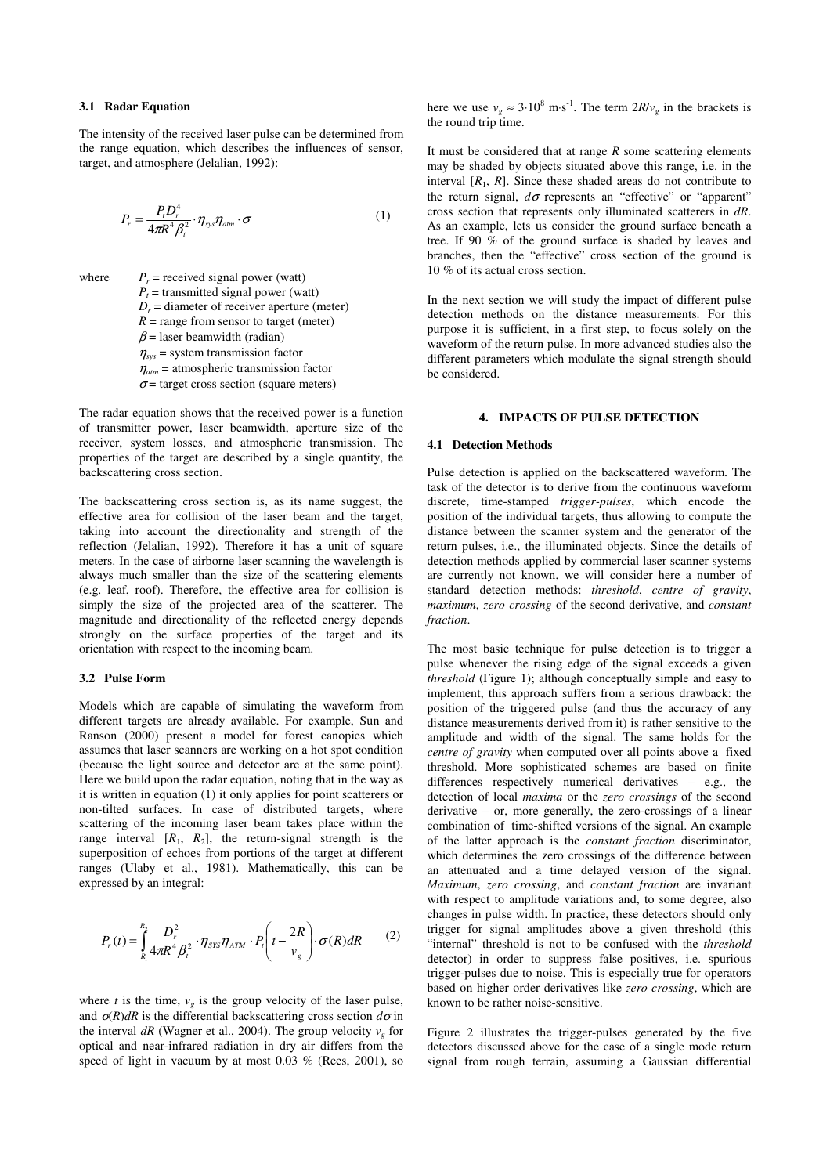### **3.1 Radar Equation**

The intensity of the received laser pulse can be determined from the range equation, which describes the influences of sensor, target, and atmosphere (Jelalian, 1992):

$$
P_r = \frac{P_t D_r^4}{4\pi R^4 \beta_i^2} \cdot \eta_{sys} \eta_{atm} \cdot \sigma \tag{1}
$$

where  $P_r$  = received signal power (watt)  $P_t$  = transmitted signal power (watt)  $D_r$  = diameter of receiver aperture (meter)  $R = \text{range from sensor to target (meter)}$  $\beta$  = laser beamwidth (radian)  $\eta_{sys}$  = system transmission factor  $\eta_{atm}$  = atmospheric transmission factor  $\sigma$  = target cross section (square meters)

The radar equation shows that the received power is a function of transmitter power, laser beamwidth, aperture size of the receiver, system losses, and atmospheric transmission. The properties of the target are described by a single quantity, the backscattering cross section.

The backscattering cross section is, as its name suggest, the effective area for collision of the laser beam and the target, taking into account the directionality and strength of the reflection (Jelalian, 1992). Therefore it has a unit of square meters. In the case of airborne laser scanning the wavelength is always much smaller than the size of the scattering elements (e.g. leaf, roof). Therefore, the effective area for collision is simply the size of the projected area of the scatterer. The magnitude and directionality of the reflected energy depends strongly on the surface properties of the target and its orientation with respect to the incoming beam.

### **3.2 Pulse Form**

Models which are capable of simulating the waveform from different targets are already available. For example, Sun and Ranson (2000) present a model for forest canopies which assumes that laser scanners are working on a hot spot condition (because the light source and detector are at the same point). Here we build upon the radar equation, noting that in the way as it is written in equation (1) it only applies for point scatterers or non-tilted surfaces. In case of distributed targets, where scattering of the incoming laser beam takes place within the range interval  $[R_1, R_2]$ , the return-signal strength is the superposition of echoes from portions of the target at different ranges (Ulaby et al., 1981). Mathematically, this can be expressed by an integral:

$$
P_r(t) = \int_{R_1}^{R_2} \frac{D_r^2}{4\pi R^4 \beta_t^2} \cdot \eta_{\text{SYS}} \eta_{\text{ATM}} \cdot P_t\left(t - \frac{2R}{v_g}\right) \cdot \sigma(R) dR \qquad (2)
$$

where *t* is the time,  $v_g$  is the group velocity of the laser pulse, and  $\sigma(R)$ *dR* is the differential backscattering cross section  $d\sigma$  in the interval  $dR$  (Wagner et al., 2004). The group velocity  $v<sub>g</sub>$  for optical and near-infrared radiation in dry air differs from the speed of light in vacuum by at most 0.03 % (Rees, 2001), so

here we use  $v_g \approx 3.10^8 \text{ m} \cdot \text{s}^{-1}$ . The term  $2R/v_g$  in the brackets is the round trip time.

It must be considered that at range *R* some scattering elements may be shaded by objects situated above this range, i.e. in the interval  $[R_1, R]$ . Since these shaded areas do not contribute to the return signal,  $d\sigma$  represents an "effective" or "apparent" cross section that represents only illuminated scatterers in *dR*. As an example, lets us consider the ground surface beneath a tree. If 90 % of the ground surface is shaded by leaves and branches, then the "effective" cross section of the ground is 10 % of its actual cross section.

In the next section we will study the impact of different pulse detection methods on the distance measurements. For this purpose it is sufficient, in a first step, to focus solely on the waveform of the return pulse. In more advanced studies also the different parameters which modulate the signal strength should be considered.

## **4. IMPACTS OF PULSE DETECTION**

#### **4.1 Detection Methods**

Pulse detection is applied on the backscattered waveform. The task of the detector is to derive from the continuous waveform discrete, time-stamped *trigger-pulses*, which encode the position of the individual targets, thus allowing to compute the distance between the scanner system and the generator of the return pulses, i.e., the illuminated objects. Since the details of detection methods applied by commercial laser scanner systems are currently not known, we will consider here a number of standard detection methods: *threshold*, *centre of gravity*, *maximum*, *zero crossing* of the second derivative, and *constant fraction*.

The most basic technique for pulse detection is to trigger a pulse whenever the rising edge of the signal exceeds a given *threshold* (Figure 1); although conceptually simple and easy to implement, this approach suffers from a serious drawback: the position of the triggered pulse (and thus the accuracy of any distance measurements derived from it) is rather sensitive to the amplitude and width of the signal. The same holds for the *centre of gravity* when computed over all points above a fixed threshold. More sophisticated schemes are based on finite differences respectively numerical derivatives – e.g., the detection of local *maxima* or the *zero crossings* of the second derivative – or, more generally, the zero-crossings of a linear combination of time-shifted versions of the signal. An example of the latter approach is the *constant fraction* discriminator, which determines the zero crossings of the difference between an attenuated and a time delayed version of the signal. *Maximum*, *zero crossing*, and *constant fraction* are invariant with respect to amplitude variations and, to some degree, also changes in pulse width. In practice, these detectors should only trigger for signal amplitudes above a given threshold (this "internal" threshold is not to be confused with the *threshold* detector) in order to suppress false positives, i.e. spurious trigger-pulses due to noise. This is especially true for operators based on higher order derivatives like *zero crossing*, which are known to be rather noise-sensitive.

Figure 2 illustrates the trigger-pulses generated by the five detectors discussed above for the case of a single mode return signal from rough terrain, assuming a Gaussian differential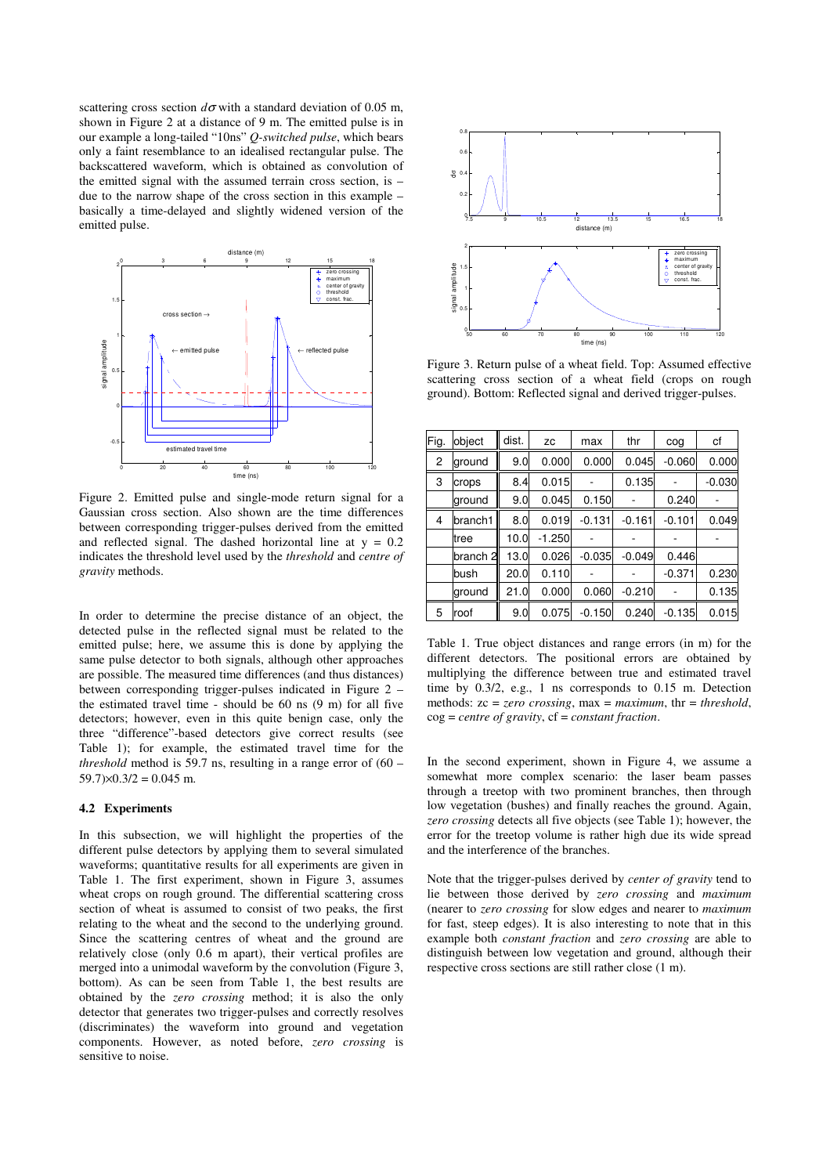scattering cross section  $d\sigma$  with a standard deviation of 0.05 m, shown in Figure 2 at a distance of 9 m. The emitted pulse is in our example a long-tailed "10ns" *Q-switched pulse*, which bears only a faint resemblance to an idealised rectangular pulse. The backscattered waveform, which is obtained as convolution of the emitted signal with the assumed terrain cross section, is – due to the narrow shape of the cross section in this example – basically a time-delayed and slightly widened version of the emitted pulse.



Figure 2. Emitted pulse and single-mode return signal for a Gaussian cross section. Also shown are the time differences between corresponding trigger-pulses derived from the emitted and reflected signal. The dashed horizontal line at  $y = 0.2$ indicates the threshold level used by the *threshold* and *centre of gravity* methods.

In order to determine the precise distance of an object, the detected pulse in the reflected signal must be related to the emitted pulse; here, we assume this is done by applying the same pulse detector to both signals, although other approaches are possible. The measured time differences (and thus distances) between corresponding trigger-pulses indicated in Figure 2 – the estimated travel time - should be 60 ns (9 m) for all five detectors; however, even in this quite benign case, only the three "difference"-based detectors give correct results (see Table 1); for example, the estimated travel time for the *threshold* method is 59.7 ns, resulting in a range error of (60 –  $59.7 \times 0.3/2 = 0.045$  m.

#### **4.2 Experiments**

In this subsection, we will highlight the properties of the different pulse detectors by applying them to several simulated waveforms; quantitative results for all experiments are given in Table 1. The first experiment, shown in Figure 3, assumes wheat crops on rough ground. The differential scattering cross section of wheat is assumed to consist of two peaks, the first relating to the wheat and the second to the underlying ground. Since the scattering centres of wheat and the ground are relatively close (only 0.6 m apart), their vertical profiles are merged into a unimodal waveform by the convolution (Figure 3, bottom). As can be seen from Table 1, the best results are obtained by the *zero crossing* method; it is also the only detector that generates two trigger-pulses and correctly resolves (discriminates) the waveform into ground and vegetation components. However, as noted before, *zero crossing* is sensitive to noise.



Figure 3. Return pulse of a wheat field. Top: Assumed effective scattering cross section of a wheat field (crops on rough ground). Bottom: Reflected signal and derived trigger-pulses.

| Fig.           | object              | dist. | ZC       | max      | thr      | cog      | сf       |
|----------------|---------------------|-------|----------|----------|----------|----------|----------|
| $\overline{c}$ | ground              | 9.0   | 0.000    | 0.000    | 0.045    | $-0.060$ | 0.000    |
| 3              | crops               | 8.4   | 0.015    |          | 0.135    |          | $-0.030$ |
|                | ground              | 9.0   | 0.045    | 0.150    |          | 0.240    |          |
| 4              | branch1             | 8.0   | 0.019    | $-0.131$ | $-0.161$ | $-0.101$ | 0.049    |
|                | tree                | 10.0  | $-1.250$ |          |          |          |          |
|                | branch <sub>2</sub> | 13.0  | 0.026    | $-0.035$ | $-0.049$ | 0.446    |          |
|                | bush                | 20.0  | 0.110    |          |          | $-0.371$ | 0.230    |
|                | ground              | 21.0  | 0.000    | 0.060    | $-0.210$ |          | 0.135    |
| 5              | roof                | 9.0   | 0.075    | $-0.150$ | 0.240    | $-0.135$ | 0.015    |

Table 1. True object distances and range errors (in m) for the different detectors. The positional errors are obtained by multiplying the difference between true and estimated travel time by 0.3/2, e.g., 1 ns corresponds to 0.15 m. Detection methods: zc = *zero crossing*, max = *maximum*, thr = *threshold*, cog = *centre of gravity*, cf = *constant fraction*.

In the second experiment, shown in Figure 4, we assume a somewhat more complex scenario: the laser beam passes through a treetop with two prominent branches, then through low vegetation (bushes) and finally reaches the ground. Again, *zero crossing* detects all five objects (see Table 1); however, the error for the treetop volume is rather high due its wide spread and the interference of the branches.

Note that the trigger-pulses derived by *center of gravity* tend to lie between those derived by *zero crossing* and *maximum* (nearer to *zero crossing* for slow edges and nearer to *maximum* for fast, steep edges). It is also interesting to note that in this example both *constant fraction* and *zero crossing* are able to distinguish between low vegetation and ground, although their respective cross sections are still rather close (1 m).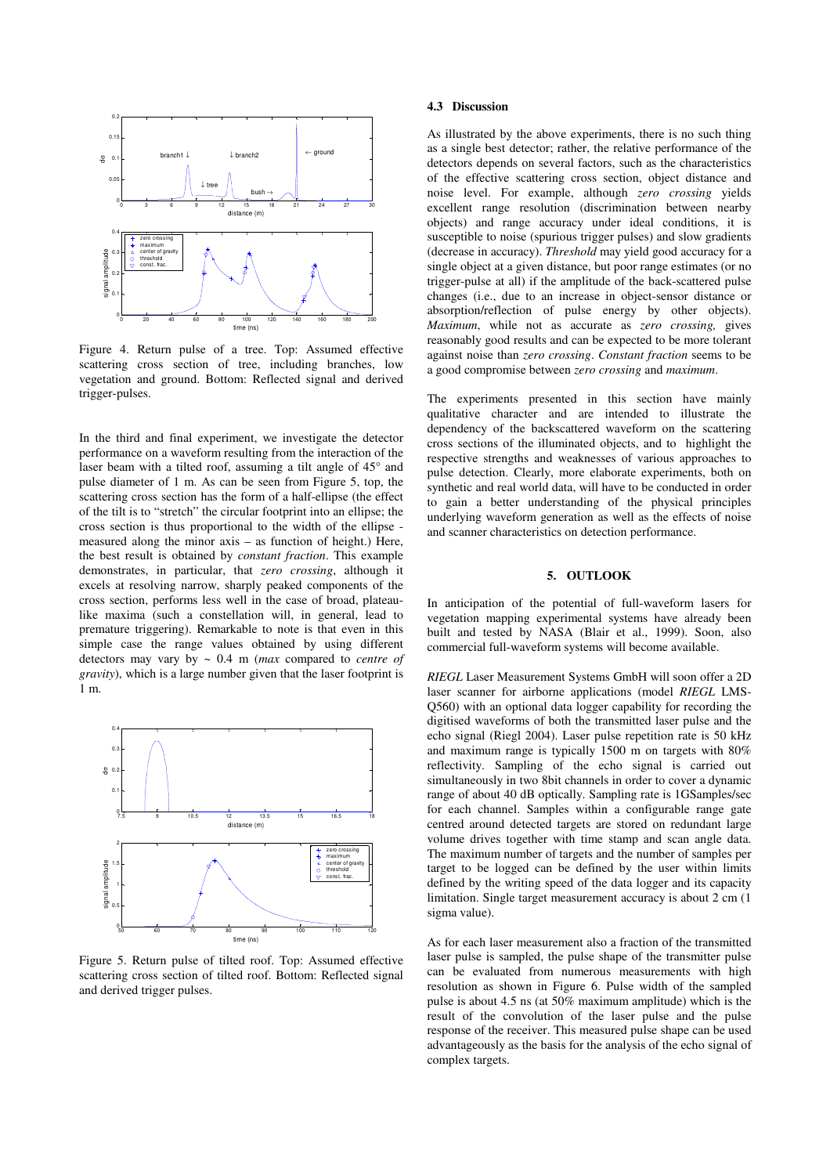

Figure 4. Return pulse of a tree. Top: Assumed effective scattering cross section of tree, including branches, low vegetation and ground. Bottom: Reflected signal and derived trigger-pulses.

In the third and final experiment, we investigate the detector performance on a waveform resulting from the interaction of the laser beam with a tilted roof, assuming a tilt angle of 45° and pulse diameter of 1 m. As can be seen from Figure 5, top, the scattering cross section has the form of a half-ellipse (the effect of the tilt is to "stretch" the circular footprint into an ellipse; the cross section is thus proportional to the width of the ellipse measured along the minor axis – as function of height.) Here, the best result is obtained by *constant fraction*. This example demonstrates, in particular, that *zero crossing*, although it excels at resolving narrow, sharply peaked components of the cross section, performs less well in the case of broad, plateaulike maxima (such a constellation will, in general, lead to premature triggering). Remarkable to note is that even in this simple case the range values obtained by using different detectors may vary by ~ 0.4 m (*max* compared to *centre of gravity*), which is a large number given that the laser footprint is 1 m.



Figure 5. Return pulse of tilted roof. Top: Assumed effective scattering cross section of tilted roof. Bottom: Reflected signal and derived trigger pulses.

### **4.3 Discussion**

As illustrated by the above experiments, there is no such thing as a single best detector; rather, the relative performance of the detectors depends on several factors, such as the characteristics of the effective scattering cross section, object distance and noise level. For example, although *zero crossing* yields excellent range resolution (discrimination between nearby objects) and range accuracy under ideal conditions, it is susceptible to noise (spurious trigger pulses) and slow gradients (decrease in accuracy). *Threshold* may yield good accuracy for a single object at a given distance, but poor range estimates (or no trigger-pulse at all) if the amplitude of the back-scattered pulse changes (i.e., due to an increase in object-sensor distance or absorption/reflection of pulse energy by other objects). *Maximum*, while not as accurate as *zero crossing,* gives reasonably good results and can be expected to be more tolerant against noise than *zero crossing*. *Constant fraction* seems to be a good compromise between *zero crossing* and *maximum*.

The experiments presented in this section have mainly qualitative character and are intended to illustrate the dependency of the backscattered waveform on the scattering cross sections of the illuminated objects, and to highlight the respective strengths and weaknesses of various approaches to pulse detection. Clearly, more elaborate experiments, both on synthetic and real world data, will have to be conducted in order to gain a better understanding of the physical principles underlying waveform generation as well as the effects of noise and scanner characteristics on detection performance.

## **5. OUTLOOK**

In anticipation of the potential of full-waveform lasers for vegetation mapping experimental systems have already been built and tested by NASA (Blair et al., 1999). Soon, also commercial full-waveform systems will become available.

*RIEGL* Laser Measurement Systems GmbH will soon offer a 2D laser scanner for airborne applications (model *RIEGL* LMS-Q560) with an optional data logger capability for recording the digitised waveforms of both the transmitted laser pulse and the echo signal (Riegl 2004). Laser pulse repetition rate is 50 kHz and maximum range is typically 1500 m on targets with 80% reflectivity. Sampling of the echo signal is carried out simultaneously in two 8bit channels in order to cover a dynamic range of about 40 dB optically. Sampling rate is 1GSamples/sec for each channel. Samples within a configurable range gate centred around detected targets are stored on redundant large volume drives together with time stamp and scan angle data. The maximum number of targets and the number of samples per target to be logged can be defined by the user within limits defined by the writing speed of the data logger and its capacity limitation. Single target measurement accuracy is about 2 cm (1 sigma value).

As for each laser measurement also a fraction of the transmitted laser pulse is sampled, the pulse shape of the transmitter pulse can be evaluated from numerous measurements with high resolution as shown in Figure 6. Pulse width of the sampled pulse is about 4.5 ns (at 50% maximum amplitude) which is the result of the convolution of the laser pulse and the pulse response of the receiver. This measured pulse shape can be used advantageously as the basis for the analysis of the echo signal of complex targets.